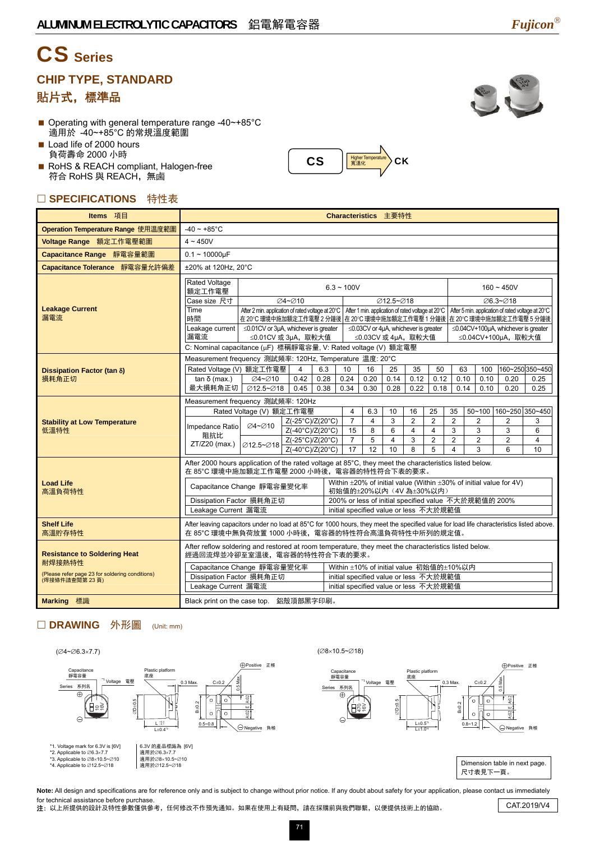# CS **Series**

### **CHIP TYPE, STANDARD**

### 貼片式,標準品

- Operating with general temperature range -40~+85°C 適用於 -40~+85°C 的常規溫度範圍
- Load life of 2000 hours 負荷壽命 2000 小時
- RoHS & REACH compliant, Halogen-free 符合 RoHS 與 REACH,無鹵

#### □ SPECIFICATIONS 特性表

| Items 項目                                                         | Characteristics 主要特性                                                                                                                                                                         |                                                                                                                                                                                  |                                                      |             |                                                                                                          |                                                                   |                |                     |                     |                     |                     |                        |                                                            |                                                   |  |
|------------------------------------------------------------------|----------------------------------------------------------------------------------------------------------------------------------------------------------------------------------------------|----------------------------------------------------------------------------------------------------------------------------------------------------------------------------------|------------------------------------------------------|-------------|----------------------------------------------------------------------------------------------------------|-------------------------------------------------------------------|----------------|---------------------|---------------------|---------------------|---------------------|------------------------|------------------------------------------------------------|---------------------------------------------------|--|
| Operation Temperature Range 使用温度範圍                               | $-40 \sim +85^{\circ}$ C                                                                                                                                                                     |                                                                                                                                                                                  |                                                      |             |                                                                                                          |                                                                   |                |                     |                     |                     |                     |                        |                                                            |                                                   |  |
| Voltage Range 額定工作電壓範圍                                           | $4 \sim 450V$                                                                                                                                                                                |                                                                                                                                                                                  |                                                      |             |                                                                                                          |                                                                   |                |                     |                     |                     |                     |                        |                                                            |                                                   |  |
| Capacitance Range 靜電容量範圍                                         | $0.1 - 10000 \mu F$                                                                                                                                                                          |                                                                                                                                                                                  |                                                      |             |                                                                                                          |                                                                   |                |                     |                     |                     |                     |                        |                                                            |                                                   |  |
| Capacitance Tolerance 靜電容量允許偏差                                   | ±20% at 120Hz, 20°C                                                                                                                                                                          |                                                                                                                                                                                  |                                                      |             |                                                                                                          |                                                                   |                |                     |                     |                     |                     |                        |                                                            |                                                   |  |
|                                                                  | <b>Rated Voltage</b><br>$6.3 - 100V$<br>額定工作電壓                                                                                                                                               |                                                                                                                                                                                  |                                                      |             |                                                                                                          |                                                                   |                |                     |                     |                     | $160 - 450V$        |                        |                                                            |                                                   |  |
|                                                                  | Case size 尺寸                                                                                                                                                                                 |                                                                                                                                                                                  | ⊘4~⊘10                                               |             |                                                                                                          |                                                                   | Ø12.5~Ø18      |                     |                     |                     |                     |                        | ∅6.3~Ø18                                                   |                                                   |  |
| <b>Leakage Current</b><br>漏電流                                    | Time<br>時間                                                                                                                                                                                   | After 2 min. application of rated voltage at 20°C   After 1 min. application of rated voltage at 20°C<br>在 20℃ 環境中施加額定工作電壓 2 分鐘後 在 20℃ 環境中施加額定工作電壓 1 分鐘後 在 20℃ 環境中施加額定工作電壓 5 分鐘後 |                                                      |             |                                                                                                          |                                                                   |                |                     |                     |                     |                     |                        |                                                            | After 5 min. application of rated voltage at 20°C |  |
|                                                                  | Leakage current<br>漏電流                                                                                                                                                                       | $\leq$ 0.01CV or 3µA, whichever is greater<br>≤0.01CV 或 3µA, 取較大值                                                                                                                |                                                      |             |                                                                                                          | $\leq$ 0.03CV or 4µA, whichever is greater<br>≤0.03CV 或 4µA, 取較大值 |                |                     |                     |                     |                     |                        | ≤0.04CV+100µA, whichever is greater<br>≤0.04CV+100µA, 取較大值 |                                                   |  |
|                                                                  | C: Nominal capacitance (µF) 標稱靜電容量, V: Rated voltage (V) 額定電壓                                                                                                                                |                                                                                                                                                                                  |                                                      |             |                                                                                                          |                                                                   |                |                     |                     |                     |                     |                        |                                                            |                                                   |  |
|                                                                  | Measurement frequency 測試頻率: 120Hz, Temperature 温度: 20°C                                                                                                                                      |                                                                                                                                                                                  |                                                      |             |                                                                                                          |                                                                   |                |                     |                     |                     |                     |                        |                                                            |                                                   |  |
| Dissipation Factor (tan δ)<br>損耗角正切                              | Rated Voltage (V) 額定工作電壓                                                                                                                                                                     |                                                                                                                                                                                  | $\overline{4}$<br>0.42                               | 6.3<br>0.28 | 10<br>0.24                                                                                               | 16<br>0.20                                                        | 25<br>0.14     | 35<br>0.12          | 50<br>0.12          | 63<br>0.10          |                     | 100<br>0.10            | 0.20                                                       | 160~250 350~450<br>0.25                           |  |
|                                                                  | $tan δ$ (max.)<br>最大損耗角正切                                                                                                                                                                    | Ø4∼Ø10<br>Ø12.5~Ø18                                                                                                                                                              | 0.45                                                 | 0.38        | 0.34                                                                                                     | 0.30                                                              | 0.28           | 0.22                | 0.18                | 0.14                |                     | 0.10                   | 0.20                                                       | 0.25                                              |  |
|                                                                  | Measurement frequency 測試頻率: 120Hz                                                                                                                                                            |                                                                                                                                                                                  |                                                      |             |                                                                                                          |                                                                   |                |                     |                     |                     |                     |                        |                                                            |                                                   |  |
|                                                                  | Rated Voltage (V) 額定工作電壓                                                                                                                                                                     |                                                                                                                                                                                  | 4                                                    | 6.3         | 10                                                                                                       | 16                                                                | 25             | 35                  |                     |                     |                     | 50~100 160~250 350~450 |                                                            |                                                   |  |
| <b>Stability at Low Temperature</b><br>低溫特性                      | Impedance Ratio                                                                                                                                                                              | <b>⊘4~⊘10</b>                                                                                                                                                                    | Z(-25°C)/Z(20°C)<br>Z(-40°C)/Z(20°C)                 |             | $\overline{7}$<br>15                                                                                     | $\overline{4}$<br>8                                               | 3<br>6         | $\overline{2}$<br>4 | $\overline{2}$<br>4 | $\overline{2}$<br>3 | $\overline{2}$<br>3 |                        | 2<br>3                                                     | 3<br>6                                            |  |
|                                                                  | 阻抗比<br>ZT/Z20 (max.)                                                                                                                                                                         |                                                                                                                                                                                  | Z(-25°C)/Z(20°C)                                     |             | $\overline{7}$                                                                                           | 5                                                                 | $\overline{4}$ | 3                   | $\overline{2}$      | $\overline{2}$      | $\overline{2}$      |                        | $\overline{2}$                                             | 4                                                 |  |
|                                                                  |                                                                                                                                                                                              | Ø12.5~Ø18                                                                                                                                                                        | Z(-40°C)/Z(20°C)                                     |             | 17                                                                                                       | 12                                                                | 10             | 8                   | 5                   | 4                   | 3                   |                        | 6                                                          | 10                                                |  |
|                                                                  | After 2000 hours application of the rated voltage at 85°C, they meet the characteristics listed below.<br>在 85°C 環境中施加額定工作電壓 2000 小時後, 電容器的特性符合下表的要求。                                        |                                                                                                                                                                                  |                                                      |             |                                                                                                          |                                                                   |                |                     |                     |                     |                     |                        |                                                            |                                                   |  |
| <b>Load Life</b><br>高溫負荷特性                                       | Capacitance Change 靜電容量變化率                                                                                                                                                                   |                                                                                                                                                                                  |                                                      |             | Within $\pm 20\%$ of initial value (Within $\pm 30\%$ of initial value for 4V)<br>初始值的±20%以內 (4V為±30%以内) |                                                                   |                |                     |                     |                     |                     |                        |                                                            |                                                   |  |
|                                                                  | Dissipation Factor 損耗角正切                                                                                                                                                                     |                                                                                                                                                                                  | 200% or less of initial specified value 不大於規範值的 200% |             |                                                                                                          |                                                                   |                |                     |                     |                     |                     |                        |                                                            |                                                   |  |
|                                                                  | Leakage Current 漏電流<br>initial specified value or less 不大於規範值                                                                                                                                |                                                                                                                                                                                  |                                                      |             |                                                                                                          |                                                                   |                |                     |                     |                     |                     |                        |                                                            |                                                   |  |
| <b>Shelf Life</b><br>高溫貯存特性                                      | After leaving capacitors under no load at 85°C for 1000 hours, they meet the specified value for load life characteristics listed above.<br>在 85°C 環境中無負荷放置 1000 小時後, 電容器的特性符合高溫負荷特性中所列的規定值。 |                                                                                                                                                                                  |                                                      |             |                                                                                                          |                                                                   |                |                     |                     |                     |                     |                        |                                                            |                                                   |  |
| <b>Resistance to Soldering Heat</b>                              | After reflow soldering and restored at room temperature, they meet the characteristics listed below.<br>經過回流焊並冷卻至室溫後,電容器的特性符合下表的要求。                                                          |                                                                                                                                                                                  |                                                      |             |                                                                                                          |                                                                   |                |                     |                     |                     |                     |                        |                                                            |                                                   |  |
| 耐焊接熱特性                                                           | Capacitance Change 靜電容量變化率                                                                                                                                                                   |                                                                                                                                                                                  |                                                      |             |                                                                                                          | Within ±10% of initial value 初始值的±10%以内                           |                |                     |                     |                     |                     |                        |                                                            |                                                   |  |
| (Please refer page 23 for soldering conditions)<br>(焊接條件請查閱第23頁) | Dissipation Factor 損耗角正切                                                                                                                                                                     |                                                                                                                                                                                  |                                                      |             |                                                                                                          | initial specified value or less 不大於規範值                            |                |                     |                     |                     |                     |                        |                                                            |                                                   |  |
|                                                                  | Leakage Current 漏電流                                                                                                                                                                          |                                                                                                                                                                                  |                                                      |             |                                                                                                          | initial specified value or less 不大於規範值                            |                |                     |                     |                     |                     |                        |                                                            |                                                   |  |
| <b>Marking 標識</b>                                                | Black print on the case top. 鋁殼頂部黑字印刷。                                                                                                                                                       |                                                                                                                                                                                  |                                                      |             |                                                                                                          |                                                                   |                |                     |                     |                     |                     |                        |                                                            |                                                   |  |

 $\text{CS}$   $\left| \frac{\text{Higher Temperature}}{\text{R} \cdot \text{R} \cdot \text{R}} \right| \geq \text{CK}$ 

#### □ DRAWING 外形圖 (Unit: mm)





Note: All design and specifications are for reference only and is subject to change without prior notice. If any doubt about safety for your application, please contact us immediately for technical assistance before purchase.

nor technical assistance before purchase.<br>○注: 以上所提供的設計及特性參數僅供參考, 任何修改不作預先通知。如果在使用上有疑問, 請在採購前與我們聯繫, 以便提供技術上的協助。 CAT.2019/V4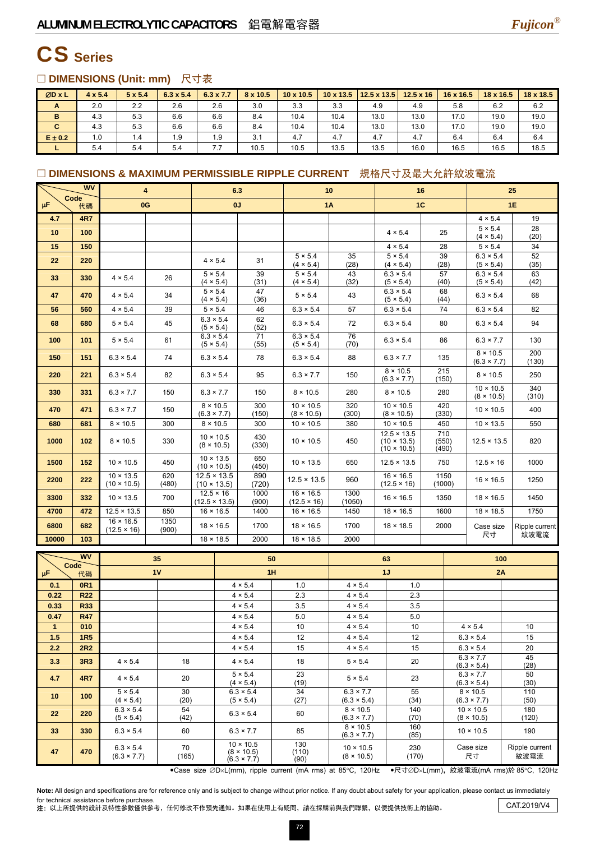

## CS **Series**

#### □ DIMENSIONS (Unit: mm) 尺寸表

| ØD x L      | $4 \times 5.4$ | $5 \times 5.4$ | $6.3 \times 5.4$ | $6.3 \times 7.7$ | 8 x 10.5 | 10 x 10.5 | $10 \times 13.5$ | 12.5 x 13.5 | $12.5 \times 16$ | 16 x 16.5 | 18 x 16.5 | $18 \times 18.5$ |
|-------------|----------------|----------------|------------------|------------------|----------|-----------|------------------|-------------|------------------|-----------|-----------|------------------|
| A           | 2.0            | 2.2            | 2.6              | 2.6              | 3.0      | 3.3       | 3.3              | 4.9         | 4.9              | 5.8       | 6.2       | 6.2              |
| B           | 4.3            | 5.3            | 6.6              | 6.6              | 8.4      | 10.4      | 10.4             | 13.0        | 13.0             | 17.0      | 19.0      | 19.0             |
| C           | 4.3            | 5.3            | 6.6              | 6.6              | 8.4      | 10.4      | 10.4             | 13.0        | 13.0             | 17.0      | 19.0      | 19.0             |
| $E \pm 0.2$ | 1.0            | 1.4            | 1.9              | 1.9              | 3.1      | 4.7       | 4.7              | 4.7         | 4.7              | 6.4       | 6.4       | 6.4              |
|             | 5.4            | 5.4            | 5.4              | 7.7              | 10.5     | 10.5      | 13.5             | 13.5        | 16.0             | 16.5      | 16.5      | 18.5             |

#### □ DIMENSIONS & MAXIMUM PERMISSIBLE RIPPLE CURRENT 規格尺寸及最大允許紋波電流

|                     | <b>WV</b>         | 4                                      |               | 6.3                                      |                                       |                                                             | 10                                     |                                        |              | 16                                                             |                 | 25           |                                        |                |
|---------------------|-------------------|----------------------------------------|---------------|------------------------------------------|---------------------------------------|-------------------------------------------------------------|----------------------------------------|----------------------------------------|--------------|----------------------------------------------------------------|-----------------|--------------|----------------------------------------|----------------|
| μF                  | Code<br>代碼        | 0G                                     |               | 0J                                       |                                       |                                                             | <b>1A</b>                              |                                        |              | 1C                                                             |                 |              |                                        | 1E             |
| 4.7                 | 4R7               |                                        |               |                                          |                                       |                                                             |                                        |                                        |              |                                                                |                 |              | $4 \times 5.4$                         | 19             |
| 10                  | 100               |                                        |               |                                          |                                       |                                                             |                                        |                                        |              | $4 \times 5.4$                                                 |                 | 25           | $5 \times 5.4$<br>$(4 \times 5.4)$     | 28<br>(20)     |
| 15                  | 150               |                                        |               |                                          |                                       |                                                             |                                        |                                        |              | $4 \times 5.4$                                                 | 28              |              | $5 \times 5.4$                         | 34             |
| 22                  | 220               |                                        |               | $4 \times 5.4$                           |                                       | 31                                                          | $5 \times 5.4$<br>$(4 \times 5.4)$     | 35<br>(28)                             |              | $5 \times 5.4$<br>$(4 \times 5.4)$                             | 39<br>(28)      |              | $6.3 \times 5.4$<br>(5 × 5.4)          | 52<br>(35)     |
| 33                  | 330               | $4 \times 5.4$                         | 26            | $5 \times 5.4$                           | $(4 \times 5.4)$                      | 39<br>(31)                                                  | $5 \times 5.4$<br>$(4 \times 5.4)$     | 43<br>(32)                             |              | $6.3 \times 5.4$<br>(5 × 5.4)                                  | 57              | (40)         | $6.3 \times 5.4$<br>(5 × 5.4)          | 63<br>(42)     |
| 47                  | 470               | $4 \times 5.4$                         | 34            | $5 \times 5.4$<br>$(4 \times 5.4)$       |                                       | 47<br>(36)                                                  | $5 \times 5.4$                         | 43                                     |              | $6.3 \times 5.4$<br>(5 × 5.4)                                  | 68              | (44)         | $6.3 \times 5.4$                       | 68             |
| 56                  | 560               | $4 \times 5.4$                         | 39            | $5 \times 5.4$                           |                                       | 46                                                          | $6.3 \times 5.4$                       | 57                                     |              | $6.3 \times 5.4$                                               | 74              |              | $6.3 \times 5.4$                       | 82             |
| 68                  | 680               | $5 \times 5.4$                         | 45            | $6.3 \times 5.4$                         | (5 × 5.4)                             | 62<br>(52)                                                  | $6.3 \times 5.4$                       | 72                                     |              | $6.3 \times 5.4$                                               | 80              |              | $6.3 \times 5.4$                       | 94             |
| 100                 | 101               | $5 \times 5.4$                         | 61            | $6.3 \times 5.4$                         | (5 × 5.4)                             | 71<br>(55)                                                  | $6.3 \times 5.4$<br>(5 × 5.4)          | 76<br>(70)                             |              | $6.3 \times 5.4$                                               | 86              |              | $6.3 \times 7.7$                       | 130            |
| 150                 | 151               | $6.3 \times 5.4$                       | 74            | $6.3 \times 5.4$                         |                                       | 78                                                          | $6.3 \times 5.4$                       | 88                                     |              | $6.3 \times 7.7$                                               |                 | 135          | $8 \times 10.5$<br>$(6.3 \times 7.7)$  | 200<br>(130)   |
| 220                 | 221               | $6.3 \times 5.4$                       | 82            |                                          | $6.3 \times 5.4$                      | 95                                                          | $6.3 \times 7.7$                       | 150                                    |              | $8 \times 10.5$<br>$(6.3 \times 7.7)$                          |                 | 215<br>(150) | $8 \times 10.5$                        | 250            |
| 330                 | 331               | $6.3 \times 7.7$                       | 150           | $6.3 \times 7.7$                         |                                       | 150                                                         | $8 \times 10.5$                        | 280                                    |              | $8 \times 10.5$                                                |                 | 280          | $10 \times 10.5$<br>$(8 \times 10.5)$  | 340<br>(310)   |
| 470                 | 471               | $6.3 \times 7.7$                       | 150           |                                          | $8 \times 10.5$<br>$(6.3 \times 7.7)$ | 300<br>(150)                                                | $10 \times 10.5$<br>$(8 \times 10.5)$  | 320<br>(300)                           |              | $10 \times 10.5$<br>$(8 \times 10.5)$                          | (330)           | 420          | $10 \times 10.5$                       | 400            |
| 680                 | 681               | $8 \times 10.5$                        | 300           |                                          | $8 \times 10.5$                       | 300                                                         | $10 \times 10.5$                       | 380                                    |              | $10 \times 10.5$                                               | 450             |              | $10 \times 13.5$                       | 550            |
| 1000                | 102               | $8 \times 10.5$                        | 330           | $10 \times 10.5$                         | $(8 \times 10.5)$                     | 430<br>(330)                                                | $10 \times 10.5$                       | 450                                    |              | $12.5 \times 13.5$<br>$(10 \times 13.5)$<br>$(10 \times 10.5)$ | (550)           | 710<br>(490) | $12.5 \times 13.5$                     | 820            |
| 1500                | 152               | $10 \times 10.5$                       | 450           | $(10 \times 10.5)$                       | $10 \times 13.5$                      | 650<br>(450)                                                | $10 \times 13.5$                       | 650                                    |              | $12.5 \times 13.5$                                             |                 | 750          | $12.5 \times 16$                       | 1000           |
| 2200                | 222               | $10 \times 13.5$<br>$(10 \times 10.5)$ | 620<br>(480)  | $12.5 \times 13.5$<br>$(10 \times 13.5)$ |                                       | 890<br>(720)                                                | $12.5 \times 13.5$                     | 960                                    |              | $16 \times 16.5$<br>$(12.5 \times 16)$                         | 1150<br>(1000)  |              | $16 \times 16.5$                       | 1250           |
| 3300                | 332               | $10 \times 13.5$                       | 700           | $12.5 \times 16$<br>$(12.5 \times 13.5)$ |                                       | 1000<br>(900)                                               | $16 \times 16.5$<br>$(12.5 \times 16)$ | 1300<br>(1050)                         |              | $16 \times 16.5$                                               | 1350            |              | $18 \times 16.5$                       | 1450           |
| 4700                | 472               | $12.5 \times 13.5$                     | 850           | $16 \times 16.5$                         |                                       | 1400                                                        | $16 \times 16.5$                       | 1450                                   |              | $18 \times 16.5$                                               | 1600            |              | $18 \times 18.5$                       | 1750           |
| 6800                | 682               | $16 \times 16.5$<br>$(12.5 \times 16)$ | 1350<br>(900) |                                          | $18 \times 16.5$                      | 1700                                                        | $18 \times 16.5$                       | 1700                                   |              | $18 \times 18.5$                                               | 2000            |              | Case size                              | Ripple current |
| 10000               | 103               |                                        |               |                                          | $18 \times 18.5$                      | 2000                                                        | $18 \times 18.5$                       | 2000                                   |              |                                                                |                 |              | 尺寸                                     | 紋波電流           |
|                     | <b>WV</b>         |                                        | 35            |                                          |                                       | 50                                                          |                                        |                                        | 63           |                                                                |                 |              | 100                                    |                |
| Code<br>μF          | 代碼                |                                        | 1V            |                                          |                                       | 1H                                                          |                                        |                                        | 1J           |                                                                |                 | 2A           |                                        |                |
| 0.1                 | 0R1               |                                        |               |                                          |                                       | $4 \times 5.4$                                              | 1.0                                    | $4 \times 5.4$                         |              | 1.0                                                            |                 |              |                                        |                |
| 0.22                | <b>R22</b>        |                                        |               |                                          |                                       | 4 × 5.4                                                     | 2.3                                    | $4 \times 5.4$                         |              | 2.3                                                            |                 |              |                                        |                |
| 0.33                | R33               |                                        |               |                                          |                                       | $4 \times 5.4$                                              | 3.5                                    | $4 \times 5.4$                         |              | 3.5                                                            |                 |              |                                        |                |
| 0.47                | <b>R47</b>        |                                        |               |                                          |                                       | 4 × 5.4                                                     | 5.0                                    | $4 \times 5.4$                         |              | 5.0                                                            |                 |              |                                        |                |
| $\mathbf{1}$<br>1.5 | 010<br><b>1R5</b> |                                        |               |                                          |                                       | $4 \times 5.4$<br>$4 \times 5.4$                            | 10<br>12                               | $4 \times 5.4$<br>$4 \times 5.4$       |              | 10<br>12                                                       |                 |              | $4 \times 5.4$<br>$6.3 \times 5.4$     | 10<br>15       |
| 2.2                 | <b>2R2</b>        |                                        |               |                                          |                                       | $4 \times 5.4$                                              | 15                                     | $4 \times 5.4$                         |              | 15                                                             |                 |              | $6.3 \times 5.4$                       | 20             |
| 3.3                 | 3R3               | 4 × 5.4                                | 18            |                                          |                                       | $4 \times 5.4$                                              | 18                                     | $5 \times 5.4$                         |              | 20                                                             |                 |              | $6.3 \times 7.7$<br>$(6.3 \times 5.4)$ | 45<br>(28)     |
| 4.7                 | <b>4R7</b>        | 4 × 5.4                                | 20            |                                          |                                       | $5 \times 5.4$<br>$(4 \times 5.4)$                          | 23<br>(19)                             | $5 \times 5.4$                         |              | 23                                                             |                 |              | $6.3 \times 7.7$<br>$(6.3 \times 5.4)$ | 50<br>(30)     |
| 10                  | 100               | $5 \times 5.4$<br>$(4 \times 5.4)$     | 30<br>(20)    |                                          |                                       | $6.3 \times 5.4$<br>(5 × 5.4)                               | 34<br>(27)                             | $6.3 \times 7.7$<br>$(6.3 \times 5.4)$ |              | 55<br>(34)                                                     |                 |              | $8 \times 10.5$<br>$(6.3 \times 7.7)$  | 110<br>(50)    |
| 22                  | 220               | $6.3 \times 5.4$<br>(5 × 5.4)          | 54<br>(42)    |                                          |                                       | $6.3 \times 5.4$                                            | 60                                     | $8 \times 10.5$<br>$(6.3 \times 7.7)$  |              | 140<br>(70)                                                    |                 |              | $10 \times 10.5$<br>$(8 \times 10.5)$  | 180<br>(120)   |
| 33                  | 330               | $6.3 \times 5.4$                       | 60            |                                          |                                       | $6.3 \times 7.7$                                            | 85                                     | $8 \times 10.5$<br>$(6.3 \times 7.7)$  |              | 160<br>(85)                                                    |                 |              | $10 \times 10.5$                       | 190            |
| 47                  | 470               | $6.3 \times 5.4$<br>$(6.3 \times 7.7)$ | 70<br>(165)   |                                          |                                       | $10 \times 10.5$<br>$(8 \times 10.5)$<br>$(6.3 \times 7.7)$ | 130<br>(110)<br>(90)                   | $10 \times 10.5$<br>$(8 \times 10.5)$  | 230<br>(170) |                                                                | Case size<br>尺寸 |              | Ripple current<br>紋波電流                 |                |

•Case size ∅D×L(mm), ripple current (mA rms) at 85°C, 120Hz •尺寸∅D×L(mm), 紋波電流(mA rms)於 85°C, 120Hz

Note: All design and specifications are for reference only and is subject to change without prior notice. If any doubt about safety for your application, please contact us immediately for technical assistance before purchase.

for technical assistance before purchase.<br>注: 以上所提供的設計及特性參數僅供參考,任何修改不作預先通知。如果在使用上有疑問,請在採購前與我們聯繫,以便提供技術上的協助。 CAT.2019/V4